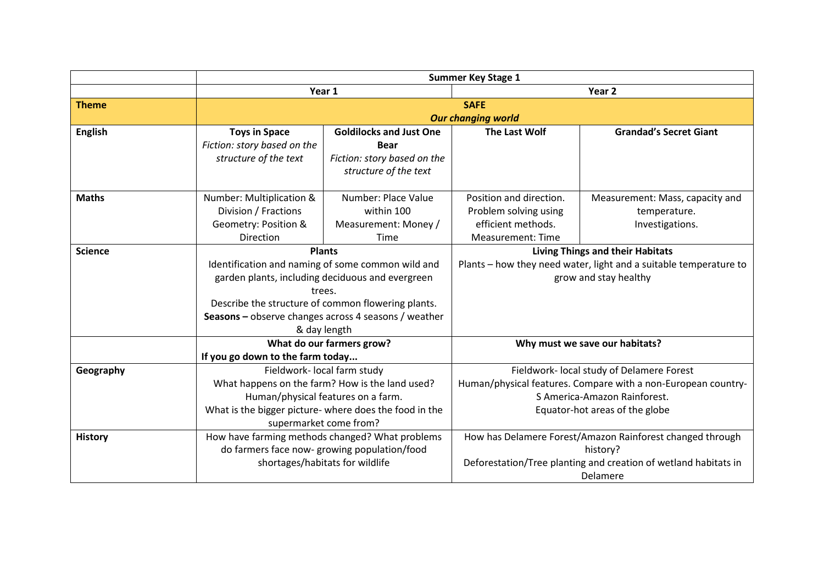|                |                                    | <b>Summer Key Stage 1</b>                              |                                                           |                                                                   |  |
|----------------|------------------------------------|--------------------------------------------------------|-----------------------------------------------------------|-------------------------------------------------------------------|--|
|                |                                    | Year 1                                                 |                                                           | Year 2                                                            |  |
| <b>Theme</b>   |                                    | <b>SAFE</b>                                            |                                                           |                                                                   |  |
|                | <b>Our changing world</b>          |                                                        |                                                           |                                                                   |  |
| <b>English</b> | <b>Toys in Space</b>               | <b>Goldilocks and Just One</b>                         | The Last Wolf                                             | <b>Grandad's Secret Giant</b>                                     |  |
|                | Fiction: story based on the        | <b>Bear</b>                                            |                                                           |                                                                   |  |
|                | structure of the text              | Fiction: story based on the                            |                                                           |                                                                   |  |
|                |                                    | structure of the text                                  |                                                           |                                                                   |  |
| <b>Maths</b>   | Number: Multiplication &           | Number: Place Value                                    | Position and direction.                                   | Measurement: Mass, capacity and                                   |  |
|                | Division / Fractions               | within 100                                             | Problem solving using                                     | temperature.                                                      |  |
|                | Geometry: Position &               | Measurement: Money /                                   | efficient methods.                                        | Investigations.                                                   |  |
|                | Direction                          | Time                                                   | <b>Measurement: Time</b>                                  |                                                                   |  |
| <b>Science</b> |                                    | <b>Plants</b>                                          | <b>Living Things and their Habitats</b>                   |                                                                   |  |
|                |                                    | Identification and naming of some common wild and      |                                                           | Plants - how they need water, light and a suitable temperature to |  |
|                |                                    | garden plants, including deciduous and evergreen       |                                                           | grow and stay healthy                                             |  |
|                |                                    | trees.                                                 |                                                           |                                                                   |  |
|                |                                    | Describe the structure of common flowering plants.     |                                                           |                                                                   |  |
|                |                                    | Seasons - observe changes across 4 seasons / weather   |                                                           |                                                                   |  |
|                |                                    | & day length                                           |                                                           |                                                                   |  |
|                | What do our farmers grow?          |                                                        | Why must we save our habitats?                            |                                                                   |  |
|                |                                    | If you go down to the farm today                       |                                                           |                                                                   |  |
| Geography      |                                    | Fieldwork- local farm study                            |                                                           | Fieldwork- local study of Delamere Forest                         |  |
|                |                                    | What happens on the farm? How is the land used?        |                                                           | Human/physical features. Compare with a non-European country-     |  |
|                | Human/physical features on a farm. |                                                        | S America-Amazon Rainforest.                              |                                                                   |  |
|                |                                    | What is the bigger picture- where does the food in the |                                                           | Equator-hot areas of the globe                                    |  |
|                |                                    | supermarket come from?                                 |                                                           |                                                                   |  |
| <b>History</b> |                                    | How have farming methods changed? What problems        | How has Delamere Forest/Amazon Rainforest changed through |                                                                   |  |
|                |                                    | do farmers face now-growing population/food            |                                                           | history?                                                          |  |
|                |                                    | shortages/habitats for wildlife                        |                                                           | Deforestation/Tree planting and creation of wetland habitats in   |  |
|                |                                    |                                                        | Delamere                                                  |                                                                   |  |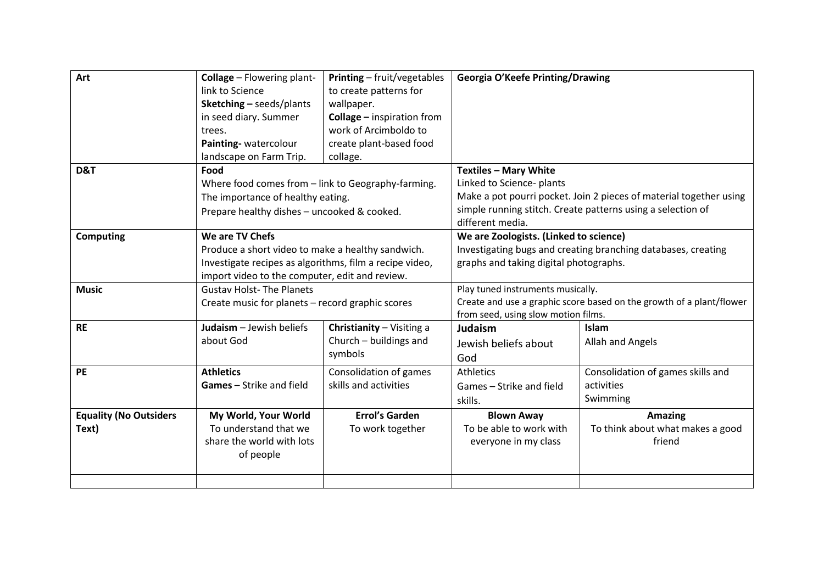| Art                           | <b>Collage</b> - Flowering plant-                                                   | <b>Printing</b> - fruit/vegetables     | Georgia O'Keefe Printing/Drawing                                     |                                                                    |
|-------------------------------|-------------------------------------------------------------------------------------|----------------------------------------|----------------------------------------------------------------------|--------------------------------------------------------------------|
|                               | link to Science                                                                     | to create patterns for                 |                                                                      |                                                                    |
|                               | Sketching - seeds/plants                                                            | wallpaper.                             |                                                                      |                                                                    |
|                               | in seed diary. Summer                                                               | <b>Collage</b> - inspiration from      |                                                                      |                                                                    |
|                               | trees.                                                                              | work of Arcimboldo to                  |                                                                      |                                                                    |
|                               | Painting-watercolour                                                                | create plant-based food                |                                                                      |                                                                    |
|                               | landscape on Farm Trip.                                                             | collage.                               |                                                                      |                                                                    |
| D&T                           | Food                                                                                |                                        | <b>Textiles - Mary White</b>                                         |                                                                    |
|                               | Where food comes from - link to Geography-farming.                                  |                                        | Linked to Science- plants                                            |                                                                    |
|                               | The importance of healthy eating.                                                   |                                        |                                                                      | Make a pot pourri pocket. Join 2 pieces of material together using |
|                               | Prepare healthy dishes - uncooked & cooked.                                         |                                        |                                                                      | simple running stitch. Create patterns using a selection of        |
|                               |                                                                                     |                                        | different media.                                                     |                                                                    |
| <b>Computing</b>              | We are TV Chefs                                                                     | We are Zoologists. (Linked to science) |                                                                      |                                                                    |
|                               | Produce a short video to make a healthy sandwich.                                   |                                        | Investigating bugs and creating branching databases, creating        |                                                                    |
|                               | Investigate recipes as algorithms, film a recipe video,                             |                                        | graphs and taking digital photographs.                               |                                                                    |
|                               | import video to the computer, edit and review.                                      |                                        |                                                                      |                                                                    |
| <b>Music</b>                  | <b>Gustav Holst-The Planets</b><br>Create music for planets – record graphic scores |                                        | Play tuned instruments musically.                                    |                                                                    |
|                               |                                                                                     |                                        | Create and use a graphic score based on the growth of a plant/flower |                                                                    |
|                               |                                                                                     |                                        | from seed, using slow motion films.                                  |                                                                    |
| <b>RE</b>                     | Judaism - Jewish beliefs                                                            | Christianity - Visiting a              | Judaism                                                              | Islam                                                              |
|                               | about God                                                                           | Church - buildings and                 | Jewish beliefs about                                                 | Allah and Angels                                                   |
|                               |                                                                                     | symbols                                | God                                                                  |                                                                    |
| <b>PE</b>                     | <b>Athletics</b>                                                                    | Consolidation of games                 | <b>Athletics</b>                                                     | Consolidation of games skills and                                  |
|                               | <b>Games</b> - Strike and field                                                     | skills and activities                  | Games - Strike and field                                             | activities                                                         |
|                               |                                                                                     |                                        | skills.                                                              | Swimming                                                           |
| <b>Equality (No Outsiders</b> | My World, Your World                                                                | <b>Errol's Garden</b>                  | <b>Blown Away</b>                                                    | <b>Amazing</b>                                                     |
| Text)                         | To understand that we                                                               | To work together                       | To be able to work with                                              | To think about what makes a good                                   |
|                               | share the world with lots                                                           |                                        | everyone in my class                                                 | friend                                                             |
|                               | of people                                                                           |                                        |                                                                      |                                                                    |
|                               |                                                                                     |                                        |                                                                      |                                                                    |
|                               |                                                                                     |                                        |                                                                      |                                                                    |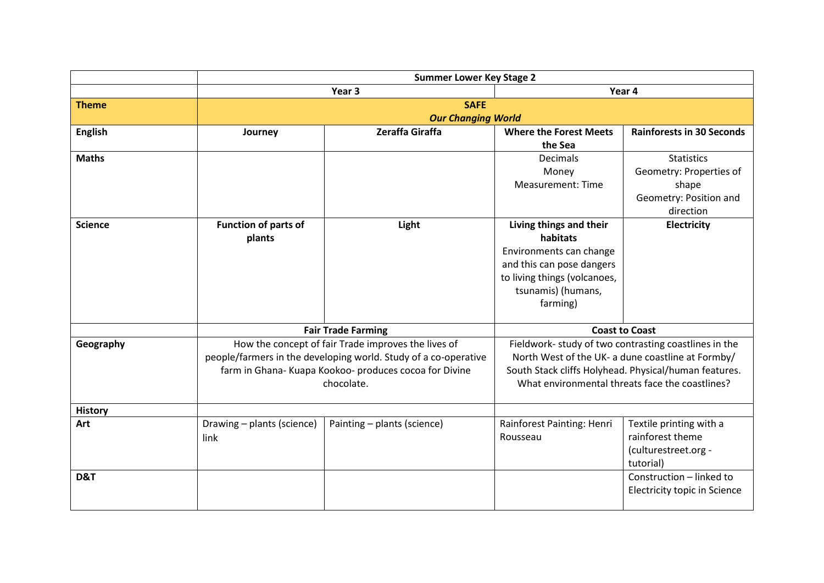|                | <b>Summer Lower Key Stage 2</b>                    |                                                                 |                                                       |                                                   |  |
|----------------|----------------------------------------------------|-----------------------------------------------------------------|-------------------------------------------------------|---------------------------------------------------|--|
|                |                                                    | Year 3                                                          | Year 4                                                |                                                   |  |
| <b>Theme</b>   | <b>SAFE</b>                                        |                                                                 |                                                       |                                                   |  |
|                | <b>Our Changing World</b>                          |                                                                 |                                                       |                                                   |  |
| <b>English</b> | Journey                                            | Zeraffa Giraffa                                                 | <b>Where the Forest Meets</b>                         | <b>Rainforests in 30 Seconds</b>                  |  |
|                |                                                    |                                                                 | the Sea                                               |                                                   |  |
| <b>Maths</b>   |                                                    |                                                                 | <b>Decimals</b>                                       | <b>Statistics</b>                                 |  |
|                |                                                    |                                                                 | Money                                                 | Geometry: Properties of                           |  |
|                |                                                    |                                                                 | <b>Measurement: Time</b>                              | shape                                             |  |
|                |                                                    |                                                                 |                                                       | Geometry: Position and                            |  |
|                |                                                    |                                                                 |                                                       | direction                                         |  |
| <b>Science</b> | <b>Function of parts of</b>                        | Light                                                           | Living things and their                               | <b>Electricity</b>                                |  |
|                | plants                                             |                                                                 | habitats                                              |                                                   |  |
|                |                                                    |                                                                 | Environments can change                               |                                                   |  |
|                |                                                    |                                                                 | and this can pose dangers                             |                                                   |  |
|                |                                                    |                                                                 | to living things (volcanoes,                          |                                                   |  |
|                |                                                    |                                                                 | tsunamis) (humans,                                    |                                                   |  |
|                |                                                    |                                                                 | farming)                                              |                                                   |  |
|                |                                                    |                                                                 |                                                       |                                                   |  |
|                | <b>Fair Trade Farming</b><br><b>Coast to Coast</b> |                                                                 |                                                       |                                                   |  |
| Geography      |                                                    | How the concept of fair Trade improves the lives of             | Fieldwork- study of two contrasting coastlines in the |                                                   |  |
|                |                                                    | people/farmers in the developing world. Study of a co-operative |                                                       | North West of the UK- a dune coastline at Formby/ |  |
|                |                                                    | farm in Ghana- Kuapa Kookoo- produces cocoa for Divine          | South Stack cliffs Holyhead. Physical/human features. |                                                   |  |
|                |                                                    | chocolate.                                                      | What environmental threats face the coastlines?       |                                                   |  |
|                |                                                    |                                                                 |                                                       |                                                   |  |
| <b>History</b> |                                                    |                                                                 |                                                       |                                                   |  |
| Art            | Drawing - plants (science)                         | Painting - plants (science)                                     | Rainforest Painting: Henri                            | Textile printing with a                           |  |
|                | link                                               |                                                                 | Rousseau                                              | rainforest theme                                  |  |
|                |                                                    |                                                                 |                                                       | (culturestreet.org -                              |  |
|                |                                                    |                                                                 |                                                       | tutorial)                                         |  |
| D&T            |                                                    |                                                                 |                                                       | Construction - linked to                          |  |
|                |                                                    |                                                                 |                                                       | Electricity topic in Science                      |  |
|                |                                                    |                                                                 |                                                       |                                                   |  |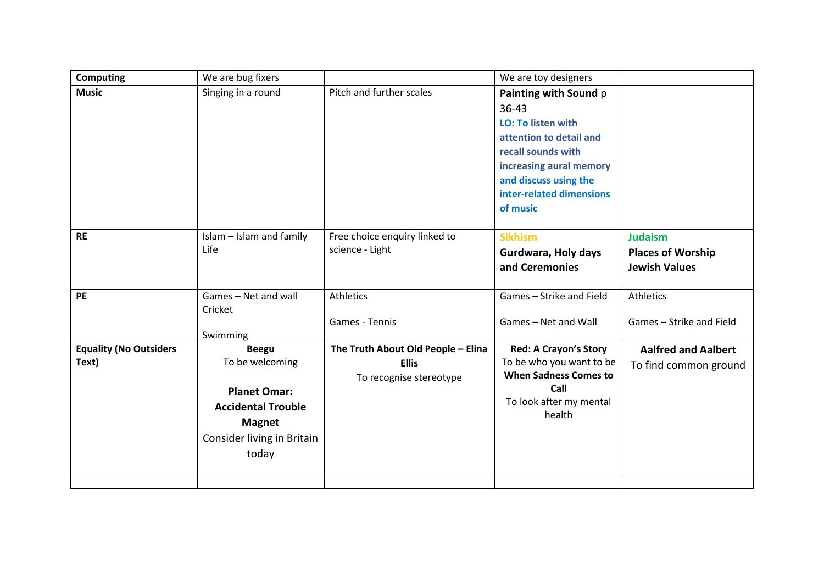| <b>Computing</b>                       | We are bug fixers                                                                                                                           |                                                                               | We are toy designers                                                                                                                                                                                         |                                                                    |
|----------------------------------------|---------------------------------------------------------------------------------------------------------------------------------------------|-------------------------------------------------------------------------------|--------------------------------------------------------------------------------------------------------------------------------------------------------------------------------------------------------------|--------------------------------------------------------------------|
| <b>Music</b>                           | Singing in a round                                                                                                                          | Pitch and further scales                                                      | Painting with Sound p<br>$36 - 43$<br><b>LO: To listen with</b><br>attention to detail and<br>recall sounds with<br>increasing aural memory<br>and discuss using the<br>inter-related dimensions<br>of music |                                                                    |
| <b>RE</b>                              | Islam - Islam and family<br>Life                                                                                                            | Free choice enquiry linked to<br>science - Light                              | <b>Sikhism</b><br>Gurdwara, Holy days<br>and Ceremonies                                                                                                                                                      | <b>Judaism</b><br><b>Places of Worship</b><br><b>Jewish Values</b> |
| PE                                     | Games - Net and wall<br>Cricket<br>Swimming                                                                                                 | <b>Athletics</b><br>Games - Tennis                                            | Games - Strike and Field<br>Games - Net and Wall                                                                                                                                                             | Athletics<br>Games - Strike and Field                              |
| <b>Equality (No Outsiders</b><br>Text) | <b>Beegu</b><br>To be welcoming<br><b>Planet Omar:</b><br><b>Accidental Trouble</b><br><b>Magnet</b><br>Consider living in Britain<br>today | The Truth About Old People - Elina<br><b>Ellis</b><br>To recognise stereotype | <b>Red: A Crayon's Story</b><br>To be who you want to be<br><b>When Sadness Comes to</b><br>Call<br>To look after my mental<br>health                                                                        | <b>Aalfred and Aalbert</b><br>To find common ground                |
|                                        |                                                                                                                                             |                                                                               |                                                                                                                                                                                                              |                                                                    |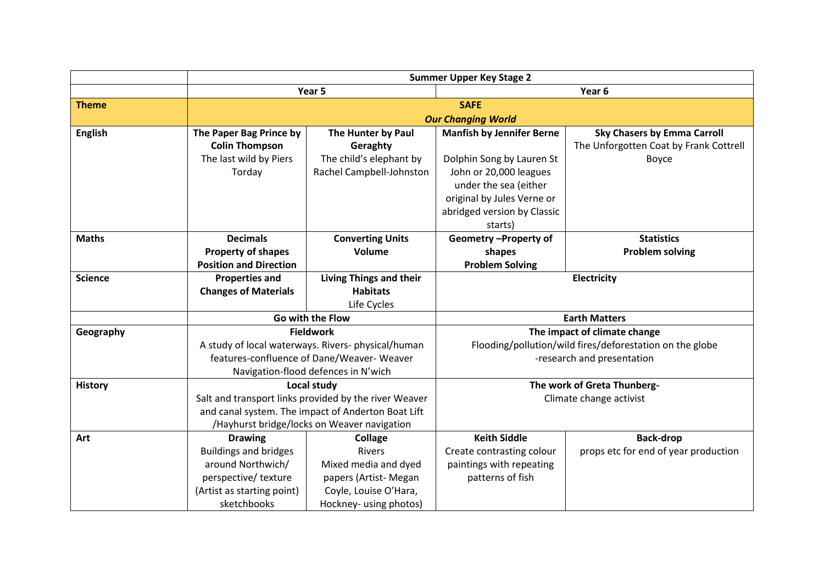|                | <b>Summer Upper Key Stage 2</b> |                                                       |                                                                                                                        |                                        |  |
|----------------|---------------------------------|-------------------------------------------------------|------------------------------------------------------------------------------------------------------------------------|----------------------------------------|--|
|                |                                 | Year 5                                                | Year <sub>6</sub>                                                                                                      |                                        |  |
| <b>Theme</b>   |                                 |                                                       | <b>SAFE</b>                                                                                                            |                                        |  |
|                | <b>Our Changing World</b>       |                                                       |                                                                                                                        |                                        |  |
| <b>English</b> | The Paper Bag Prince by         | The Hunter by Paul                                    | <b>Manfish by Jennifer Berne</b>                                                                                       | <b>Sky Chasers by Emma Carroll</b>     |  |
|                | <b>Colin Thompson</b>           | Geraghty                                              |                                                                                                                        | The Unforgotten Coat by Frank Cottrell |  |
|                | The last wild by Piers          | The child's elephant by                               | Dolphin Song by Lauren St                                                                                              | Boyce                                  |  |
|                | Torday                          | Rachel Campbell-Johnston                              | John or 20,000 leagues                                                                                                 |                                        |  |
|                |                                 |                                                       | under the sea (either                                                                                                  |                                        |  |
|                |                                 |                                                       | original by Jules Verne or                                                                                             |                                        |  |
|                |                                 |                                                       | abridged version by Classic                                                                                            |                                        |  |
|                |                                 |                                                       | starts)                                                                                                                |                                        |  |
| <b>Maths</b>   | <b>Decimals</b>                 | <b>Converting Units</b>                               | Geometry-Property of                                                                                                   | <b>Statistics</b>                      |  |
|                | <b>Property of shapes</b>       | Volume                                                | shapes                                                                                                                 | <b>Problem solving</b>                 |  |
|                | <b>Position and Direction</b>   |                                                       | <b>Problem Solving</b>                                                                                                 |                                        |  |
| <b>Science</b> | <b>Properties and</b>           | <b>Living Things and their</b>                        | Electricity                                                                                                            |                                        |  |
|                | <b>Changes of Materials</b>     | <b>Habitats</b>                                       |                                                                                                                        |                                        |  |
|                |                                 | Life Cycles                                           |                                                                                                                        |                                        |  |
|                |                                 | Go with the Flow                                      | <b>Earth Matters</b>                                                                                                   |                                        |  |
| Geography      |                                 | <b>Fieldwork</b>                                      | The impact of climate change<br>Flooding/pollution/wild fires/deforestation on the globe<br>-research and presentation |                                        |  |
|                |                                 | A study of local waterways. Rivers-physical/human     |                                                                                                                        |                                        |  |
|                |                                 | features-confluence of Dane/Weaver-Weaver             |                                                                                                                        |                                        |  |
|                |                                 | Navigation-flood defences in N'wich                   |                                                                                                                        |                                        |  |
| <b>History</b> |                                 | Local study                                           | The work of Greta Thunberg-                                                                                            |                                        |  |
|                |                                 | Salt and transport links provided by the river Weaver |                                                                                                                        | Climate change activist                |  |
|                |                                 | and canal system. The impact of Anderton Boat Lift    |                                                                                                                        |                                        |  |
|                |                                 | /Hayhurst bridge/locks on Weaver navigation           |                                                                                                                        |                                        |  |
| Art            | <b>Drawing</b>                  | <b>Collage</b>                                        | <b>Keith Siddle</b>                                                                                                    | <b>Back-drop</b>                       |  |
|                | <b>Buildings and bridges</b>    | <b>Rivers</b>                                         | Create contrasting colour                                                                                              | props etc for end of year production   |  |
|                | around Northwich/               | Mixed media and dyed                                  | paintings with repeating                                                                                               |                                        |  |
|                | perspective/texture             | papers (Artist-Megan                                  | patterns of fish                                                                                                       |                                        |  |
|                | (Artist as starting point)      | Coyle, Louise O'Hara,                                 |                                                                                                                        |                                        |  |
|                | sketchbooks                     | Hockney- using photos)                                |                                                                                                                        |                                        |  |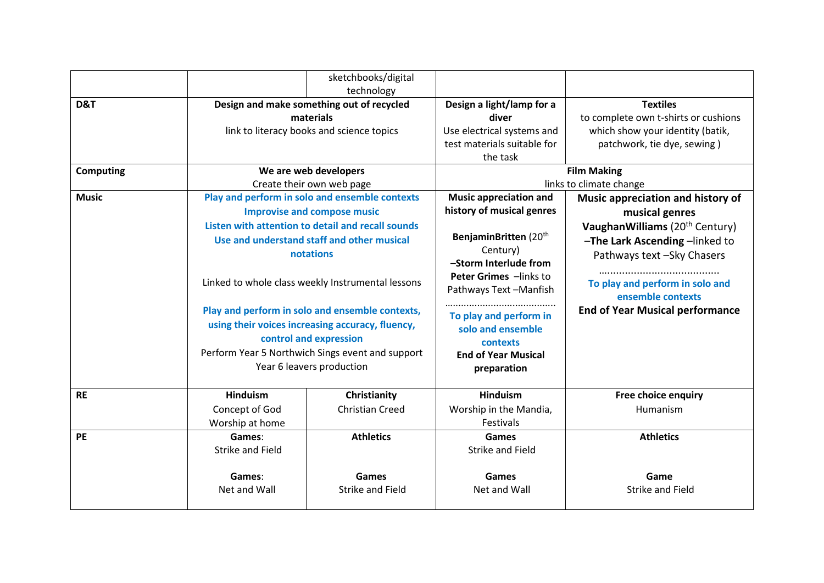|                  |                           | sketchbooks/digital                                                                                 |                                                 |                                             |  |  |
|------------------|---------------------------|-----------------------------------------------------------------------------------------------------|-------------------------------------------------|---------------------------------------------|--|--|
|                  |                           | technology                                                                                          |                                                 |                                             |  |  |
| D&T              |                           | Design and make something out of recycled                                                           | Design a light/lamp for a                       | <b>Textiles</b>                             |  |  |
|                  |                           | materials                                                                                           | diver<br>Use electrical systems and             | to complete own t-shirts or cushions        |  |  |
|                  |                           | link to literacy books and science topics                                                           |                                                 | which show your identity (batik,            |  |  |
|                  |                           |                                                                                                     | test materials suitable for                     | patchwork, tie dye, sewing)                 |  |  |
|                  |                           |                                                                                                     | the task                                        |                                             |  |  |
| <b>Computing</b> |                           | We are web developers                                                                               |                                                 | <b>Film Making</b>                          |  |  |
|                  |                           | Create their own web page                                                                           | <b>Music appreciation and</b>                   | links to climate change                     |  |  |
| <b>Music</b>     |                           | Play and perform in solo and ensemble contexts                                                      |                                                 | Music appreciation and history of           |  |  |
|                  |                           | <b>Improvise and compose music</b>                                                                  | history of musical genres                       | musical genres                              |  |  |
|                  |                           | Listen with attention to detail and recall sounds                                                   |                                                 | Vaughan Williams (20 <sup>th</sup> Century) |  |  |
|                  |                           | Use and understand staff and other musical                                                          |                                                 | -The Lark Ascending -linked to              |  |  |
|                  |                           | notations                                                                                           |                                                 | Pathways text - Sky Chasers                 |  |  |
|                  |                           |                                                                                                     | -Storm Interlude from<br>Peter Grimes -links to |                                             |  |  |
|                  |                           | Linked to whole class weekly Instrumental lessons                                                   |                                                 | To play and perform in solo and             |  |  |
|                  |                           |                                                                                                     |                                                 | ensemble contexts                           |  |  |
|                  |                           |                                                                                                     | To play and perform in                          | <b>End of Year Musical performance</b>      |  |  |
|                  |                           | Play and perform in solo and ensemble contexts,<br>using their voices increasing accuracy, fluency, |                                                 |                                             |  |  |
|                  |                           |                                                                                                     | solo and ensemble                               |                                             |  |  |
|                  |                           | control and expression                                                                              | contexts<br><b>End of Year Musical</b>          |                                             |  |  |
|                  |                           | Perform Year 5 Northwich Sings event and support                                                    |                                                 |                                             |  |  |
|                  | Year 6 leavers production |                                                                                                     | preparation                                     |                                             |  |  |
| <b>RE</b>        | <b>Hinduism</b>           | Christianity                                                                                        | <b>Hinduism</b>                                 | Free choice enquiry                         |  |  |
|                  | Concept of God            | <b>Christian Creed</b>                                                                              | Worship in the Mandia,                          | Humanism                                    |  |  |
|                  | Worship at home           |                                                                                                     | Festivals                                       |                                             |  |  |
| <b>PE</b>        | Games:                    | <b>Athletics</b>                                                                                    | <b>Games</b>                                    | <b>Athletics</b>                            |  |  |
|                  | <b>Strike and Field</b>   |                                                                                                     | <b>Strike and Field</b>                         |                                             |  |  |
|                  | Games:                    | Games                                                                                               | Games                                           | Game                                        |  |  |
|                  | Net and Wall              | <b>Strike and Field</b>                                                                             | Net and Wall                                    | <b>Strike and Field</b>                     |  |  |
|                  |                           |                                                                                                     |                                                 |                                             |  |  |